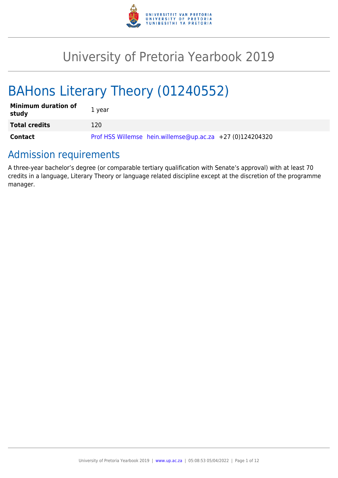

# University of Pretoria Yearbook 2019

# BAHons Literary Theory (01240552)

| <b>Minimum duration of</b><br>study | 1 year                                                    |
|-------------------------------------|-----------------------------------------------------------|
| <b>Total credits</b>                | 120                                                       |
| Contact                             | Prof HSS Willemse hein.willemse@up.ac.za +27 (0)124204320 |

# Admission requirements

A three-year bachelor's degree (or comparable tertiary qualification with Senate's approval) with at least 70 credits in a language, Literary Theory or language related discipline except at the discretion of the programme manager.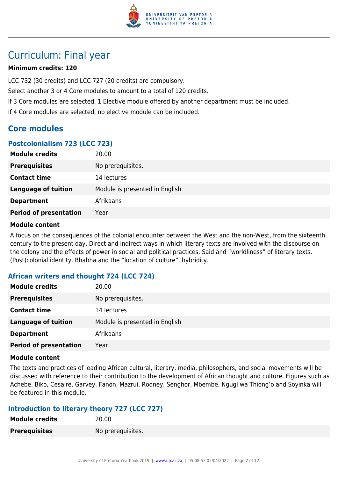

# Curriculum: Final year

# **Minimum credits: 120**

LCC 732 (30 credits) and LCC 727 (20 credits) are compulsory.

Select another 3 or 4 Core modules to amount to a total of 120 credits.

If 3 Core modules are selected, 1 Elective module offered by another department must be included.

If 4 Core modules are selected, no elective module can be included.

# **Core modules**

### **Postcolonialism 723 (LCC 723)**

| <b>Module credits</b>         | 20.00                          |
|-------------------------------|--------------------------------|
| <b>Prerequisites</b>          | No prerequisites.              |
| <b>Contact time</b>           | 14 lectures                    |
| <b>Language of tuition</b>    | Module is presented in English |
| <b>Department</b>             | Afrikaans                      |
| <b>Period of presentation</b> | Year                           |

#### **Module content**

A focus on the consequences of the colonial encounter between the West and the non-West, from the sixteenth century to the present day. Direct and indirect ways in which literary texts are involved with the discourse on the colony and the effects of power in social and political practices. Said and "worldliness" of literary texts. (Post)colonial identity. Bhabha and the "location of culture", hybridity.

# **African writers and thought 724 (LCC 724)**

| <b>Module credits</b>         | 20.00                          |
|-------------------------------|--------------------------------|
| <b>Prerequisites</b>          | No prerequisites.              |
| <b>Contact time</b>           | 14 lectures                    |
| <b>Language of tuition</b>    | Module is presented in English |
| <b>Department</b>             | Afrikaans                      |
| <b>Period of presentation</b> | Year                           |

#### **Module content**

The texts and practices of leading African cultural, literary, media, philosophers, and social movements will be discussed with reference to their contribution to the development of African thought and culture. Figures such as Achebe, Biko, Cesaire, Garvey, Fanon, Mazrui, Rodney, Senghor, Mbembe, Ngugi wa Thiong'o and Soyinka will be featured in this module.

# **Introduction to literary theory 727 (LCC 727)**

| <b>Module credits</b> | 20.00             |
|-----------------------|-------------------|
| <b>Prerequisites</b>  | No prerequisites. |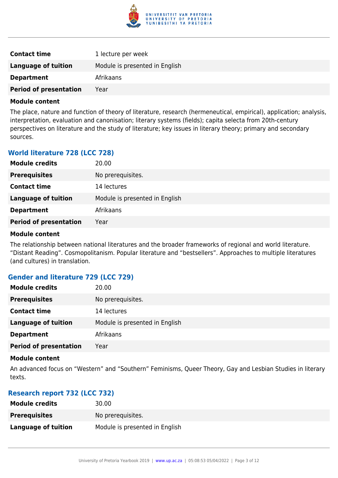

| <b>Contact time</b>           | 1 lecture per week             |
|-------------------------------|--------------------------------|
| <b>Language of tuition</b>    | Module is presented in English |
| <b>Department</b>             | Afrikaans                      |
| <b>Period of presentation</b> | Year                           |

The place, nature and function of theory of literature, research (hermeneutical, empirical), application; analysis, interpretation, evaluation and canonisation; literary systems (fields); capita selecta from 20th-century perspectives on literature and the study of literature; key issues in literary theory; primary and secondary sources.

# **World literature 728 (LCC 728)**

| <b>Module credits</b>         | 20.00                          |
|-------------------------------|--------------------------------|
| <b>Prerequisites</b>          | No prerequisites.              |
| <b>Contact time</b>           | 14 lectures                    |
| <b>Language of tuition</b>    | Module is presented in English |
| <b>Department</b>             | Afrikaans                      |
| <b>Period of presentation</b> | Year                           |

#### **Module content**

The relationship between national literatures and the broader frameworks of regional and world literature. "Distant Reading". Cosmopolitanism. Popular literature and "bestsellers". Approaches to multiple literatures (and cultures) in translation.

# **Gender and literature 729 (LCC 729)**

| <b>Module credits</b>         | 20.00                          |
|-------------------------------|--------------------------------|
| <b>Prerequisites</b>          | No prerequisites.              |
| <b>Contact time</b>           | 14 lectures                    |
| <b>Language of tuition</b>    | Module is presented in English |
| <b>Department</b>             | Afrikaans                      |
| <b>Period of presentation</b> | Year                           |

#### **Module content**

An advanced focus on "Western" and "Southern" Feminisms, Queer Theory, Gay and Lesbian Studies in literary texts.

#### **Research report 732 (LCC 732)**

| <b>Module credits</b>      | 30.00                          |
|----------------------------|--------------------------------|
| <b>Prerequisites</b>       | No prerequisites.              |
| <b>Language of tuition</b> | Module is presented in English |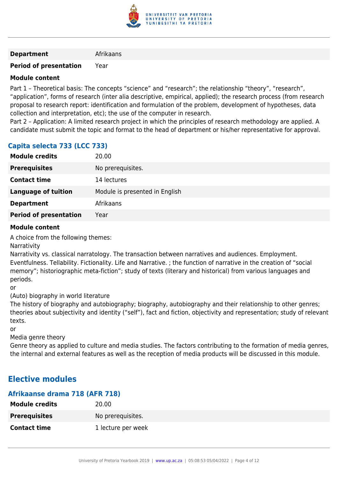

#### **Department** Afrikaans

## **Period of presentation** Year

#### **Module content**

Part 1 – Theoretical basis: The concepts "science" and "research"; the relationship "theory", "research", "application", forms of research (inter alia descriptive, empirical, applied); the research process (from research proposal to research report: identification and formulation of the problem, development of hypotheses, data collection and interpretation, etc); the use of the computer in research.

Part 2 – Application: A limited research project in which the principles of research methodology are applied. A candidate must submit the topic and format to the head of department or his/her representative for approval.

# **Capita selecta 733 (LCC 733)**

| <b>Module credits</b>         | 20.00                          |
|-------------------------------|--------------------------------|
| <b>Prerequisites</b>          | No prerequisites.              |
| <b>Contact time</b>           | 14 lectures                    |
| <b>Language of tuition</b>    | Module is presented in English |
| <b>Department</b>             | Afrikaans                      |
| <b>Period of presentation</b> | Year                           |

#### **Module content**

A choice from the following themes:

Narrativity

Narrativity vs. classical narratology. The transaction between narratives and audiences. Employment. Eventfulness. Tellability. Fictionality. Life and Narrative. ; the function of narrative in the creation of "social memory"; historiographic meta-fiction"; study of texts (literary and historical) from various languages and periods.

or

(Auto) biography in world literature

The history of biography and autobiography; biography, autobiography and their relationship to other genres; theories about subjectivity and identity ("self"), fact and fiction, objectivity and representation; study of relevant texts.

or

Media genre theory

Genre theory as applied to culture and media studies. The factors contributing to the formation of media genres, the internal and external features as well as the reception of media products will be discussed in this module.

# **Elective modules**

| Afrikaanse drama 718 (AFR 718) |                    |
|--------------------------------|--------------------|
| <b>Module credits</b>          | 20.00              |
| <b>Prerequisites</b>           | No prerequisites.  |
| <b>Contact time</b>            | 1 lecture per week |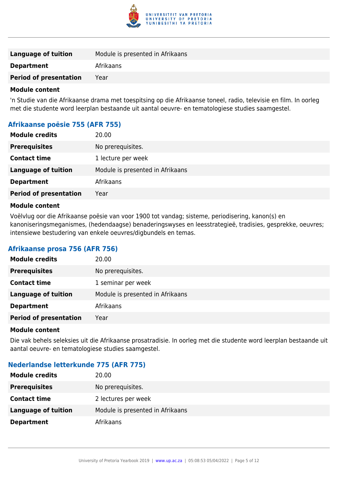

| Language of tuition           | Module is presented in Afrikaans |
|-------------------------------|----------------------------------|
| <b>Department</b>             | Afrikaans                        |
| <b>Period of presentation</b> | Year                             |
|                               |                                  |

'n Studie van die Afrikaanse drama met toespitsing op die Afrikaanse toneel, radio, televisie en film. In oorleg met die studente word leerplan bestaande uit aantal oeuvre- en tematologiese studies saamgestel.

# **Afrikaanse poësie 755 (AFR 755)**

| <b>Module credits</b>         | 20.00                            |
|-------------------------------|----------------------------------|
| <b>Prerequisites</b>          | No prerequisites.                |
| <b>Contact time</b>           | 1 lecture per week               |
| <b>Language of tuition</b>    | Module is presented in Afrikaans |
| <b>Department</b>             | Afrikaans                        |
| <b>Period of presentation</b> | Year                             |
|                               |                                  |

#### **Module content**

Voëlvlug oor die Afrikaanse poësie van voor 1900 tot vandag; sisteme, periodisering, kanon(s) en kanoniseringsmeganismes, (hedendaagse) benaderingswyses en leesstrategieë, tradisies, gesprekke, oeuvres; intensiewe bestudering van enkele oeuvres/digbundels en temas.

#### **Afrikaanse prosa 756 (AFR 756)**

| <b>Module credits</b>         | 20.00                            |
|-------------------------------|----------------------------------|
| <b>Prerequisites</b>          | No prerequisites.                |
| <b>Contact time</b>           | 1 seminar per week               |
| <b>Language of tuition</b>    | Module is presented in Afrikaans |
| <b>Department</b>             | Afrikaans                        |
| <b>Period of presentation</b> | Year                             |
|                               |                                  |

#### **Module content**

Die vak behels seleksies uit die Afrikaanse prosatradisie. In oorleg met die studente word leerplan bestaande uit aantal oeuvre- en tematologiese studies saamgestel.

# **Nederlandse letterkunde 775 (AFR 775)**

| <b>Module credits</b> | 20.00                            |
|-----------------------|----------------------------------|
| <b>Prerequisites</b>  | No prerequisites.                |
| <b>Contact time</b>   | 2 lectures per week              |
| Language of tuition   | Module is presented in Afrikaans |
| <b>Department</b>     | Afrikaans                        |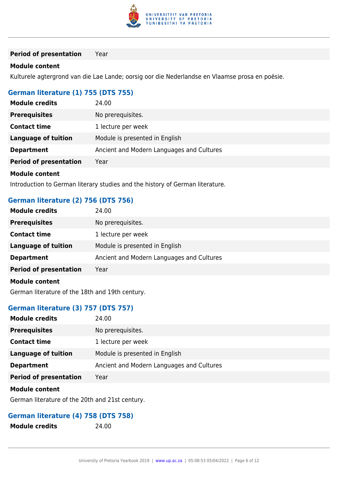

**Period of presentation** Year

#### **Module content**

Kulturele agtergrond van die Lae Lande; oorsig oor die Nederlandse en Vlaamse prosa en poësie.

### **German literature (1) 755 (DTS 755)**

| <b>Module credits</b>         | 24.00                                     |
|-------------------------------|-------------------------------------------|
| <b>Prerequisites</b>          | No prerequisites.                         |
| <b>Contact time</b>           | 1 lecture per week                        |
| Language of tuition           | Module is presented in English            |
| <b>Department</b>             | Ancient and Modern Languages and Cultures |
| <b>Period of presentation</b> | Year                                      |
| <b>Module content</b>         |                                           |

Introduction to German literary studies and the history of German literature.

## **German literature (2) 756 (DTS 756)**

| <b>Module credits</b>         | 24.00                                     |
|-------------------------------|-------------------------------------------|
| <b>Prerequisites</b>          | No prerequisites.                         |
| <b>Contact time</b>           | 1 lecture per week                        |
| <b>Language of tuition</b>    | Module is presented in English            |
| <b>Department</b>             | Ancient and Modern Languages and Cultures |
| <b>Period of presentation</b> | Year                                      |
| <b>Module content</b>         |                                           |

German literature of the 18th and 19th century.

# **German literature (3) 757 (DTS 757)**

| <b>Module credits</b>         | 24.00                                     |
|-------------------------------|-------------------------------------------|
| <b>Prerequisites</b>          | No prerequisites.                         |
| <b>Contact time</b>           | 1 lecture per week                        |
| <b>Language of tuition</b>    | Module is presented in English            |
| <b>Department</b>             | Ancient and Modern Languages and Cultures |
| <b>Period of presentation</b> | Year                                      |
|                               |                                           |

#### **Module content**

German literature of the 20th and 21st century.

## **German literature (4) 758 (DTS 758)**

| <b>Module credits</b> | 24.00 |
|-----------------------|-------|
|-----------------------|-------|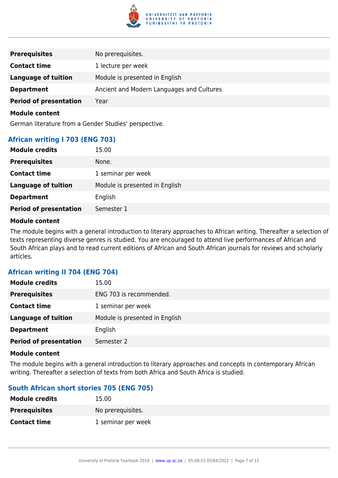

| <b>Prerequisites</b>          | No prerequisites.                         |
|-------------------------------|-------------------------------------------|
| <b>Contact time</b>           | 1 lecture per week                        |
| <b>Language of tuition</b>    | Module is presented in English            |
| <b>Department</b>             | Ancient and Modern Languages and Cultures |
| <b>Period of presentation</b> | Year                                      |

German literature from a Gender Studies' perspective.

# **African writing I 703 (ENG 703)**

| <b>Module credits</b>         | 15.00                          |
|-------------------------------|--------------------------------|
| <b>Prerequisites</b>          | None.                          |
| <b>Contact time</b>           | 1 seminar per week             |
| <b>Language of tuition</b>    | Module is presented in English |
| <b>Department</b>             | English                        |
| <b>Period of presentation</b> | Semester 1                     |

#### **Module content**

The module begins with a general introduction to literary approaches to African writing. Thereafter a selection of texts representing diverse genres is studied. You are encouraged to attend live performances of African and South African plays and to read current editions of African and South African journals for reviews and scholarly articles.

#### **African writing II 704 (ENG 704)**

| <b>Module credits</b>         | 15.00                          |
|-------------------------------|--------------------------------|
| <b>Prerequisites</b>          | ENG 703 is recommended.        |
| <b>Contact time</b>           | 1 seminar per week             |
| <b>Language of tuition</b>    | Module is presented in English |
| <b>Department</b>             | English                        |
| <b>Period of presentation</b> | Semester 2                     |

#### **Module content**

The module begins with a general introduction to literary approaches and concepts in contemporary African writing. Thereafter a selection of texts from both Africa and South Africa is studied.

# **South African short stories 705 (ENG 705)**

| <b>Module credits</b> | 15.00              |
|-----------------------|--------------------|
| <b>Prerequisites</b>  | No prerequisites.  |
| <b>Contact time</b>   | 1 seminar per week |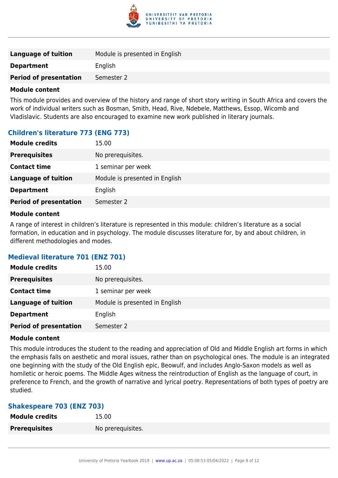

| <b>Language of tuition</b>    | Module is presented in English |
|-------------------------------|--------------------------------|
| <b>Department</b>             | English                        |
| <b>Period of presentation</b> | Semester 2                     |
|                               |                                |

This module provides and overview of the history and range of short story writing in South Africa and covers the work of individual writers such as Bosman, Smith, Head, Rive, Ndebele, Matthews, Essop, Wicomb and Vladislavic. Students are also encouraged to examine new work published in literary journals.

# **Children's literature 773 (ENG 773)**

| <b>Module credits</b>         | 15.00                          |
|-------------------------------|--------------------------------|
| <b>Prerequisites</b>          | No prerequisites.              |
| <b>Contact time</b>           | 1 seminar per week             |
| <b>Language of tuition</b>    | Module is presented in English |
| <b>Department</b>             | English                        |
| <b>Period of presentation</b> | Semester 2                     |

#### **Module content**

A range of interest in children's literature is represented in this module: children's literature as a social formation, in education and in psychology. The module discusses literature for, by and about children, in different methodologies and modes.

# **Medieval literature 701 (ENZ 701)**

| <b>Module credits</b>         | 15.00                          |
|-------------------------------|--------------------------------|
| <b>Prerequisites</b>          | No prerequisites.              |
| <b>Contact time</b>           | 1 seminar per week             |
| <b>Language of tuition</b>    | Module is presented in English |
| <b>Department</b>             | English                        |
| <b>Period of presentation</b> | Semester 2                     |

#### **Module content**

This module introduces the student to the reading and appreciation of Old and Middle English art forms in which the emphasis falls on aesthetic and moral issues, rather than on psychological ones. The module is an integrated one beginning with the study of the Old English epic, Beowulf, and includes Anglo-Saxon models as well as homiletic or heroic poems. The Middle Ages witness the reintroduction of English as the language of court, in preference to French, and the growth of narrative and lyrical poetry. Representations of both types of poetry are studied.

#### **Shakespeare 703 (ENZ 703)**

| <b>Module credits</b> | 15.00             |
|-----------------------|-------------------|
| <b>Prerequisites</b>  | No prerequisites. |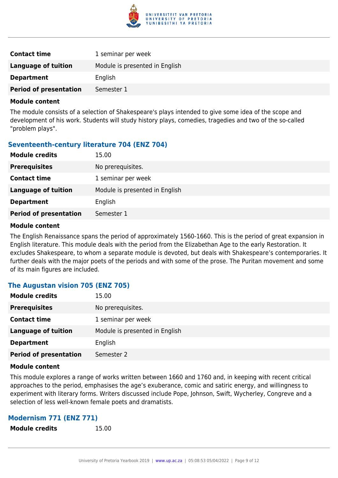

| <b>Contact time</b>           | 1 seminar per week             |
|-------------------------------|--------------------------------|
| <b>Language of tuition</b>    | Module is presented in English |
| <b>Department</b>             | English                        |
| <b>Period of presentation</b> | Semester 1                     |

The module consists of a selection of Shakespeare's plays intended to give some idea of the scope and development of his work. Students will study history plays, comedies, tragedies and two of the so-called "problem plays".

# **Seventeenth-century literature 704 (ENZ 704)**

| <b>Module credits</b>         | 15.00                          |
|-------------------------------|--------------------------------|
| <b>Prerequisites</b>          | No prerequisites.              |
| <b>Contact time</b>           | 1 seminar per week             |
| <b>Language of tuition</b>    | Module is presented in English |
| <b>Department</b>             | English                        |
| <b>Period of presentation</b> | Semester 1                     |

#### **Module content**

The English Renaissance spans the period of approximately 1560-1660. This is the period of great expansion in English literature. This module deals with the period from the Elizabethan Age to the early Restoration. It excludes Shakespeare, to whom a separate module is devoted, but deals with Shakespeare's contemporaries. It further deals with the major poets of the periods and with some of the prose. The Puritan movement and some of its main figures are included.

# **The Augustan vision 705 (ENZ 705)**

| <b>Module credits</b>         | 15.00                          |
|-------------------------------|--------------------------------|
| <b>Prerequisites</b>          | No prerequisites.              |
| <b>Contact time</b>           | 1 seminar per week             |
| <b>Language of tuition</b>    | Module is presented in English |
| <b>Department</b>             | English                        |
| <b>Period of presentation</b> | Semester 2                     |

#### **Module content**

This module explores a range of works written between 1660 and 1760 and, in keeping with recent critical approaches to the period, emphasises the age's exuberance, comic and satiric energy, and willingness to experiment with literary forms. Writers discussed include Pope, Johnson, Swift, Wycherley, Congreve and a selection of less well-known female poets and dramatists.

#### **Modernism 771 (ENZ 771)**

**Module credits** 15.00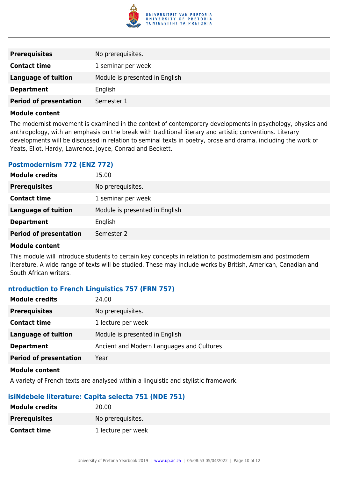

| <b>Prerequisites</b>          | No prerequisites.              |
|-------------------------------|--------------------------------|
| <b>Contact time</b>           | 1 seminar per week             |
| <b>Language of tuition</b>    | Module is presented in English |
| <b>Department</b>             | English                        |
| <b>Period of presentation</b> | Semester 1                     |

The modernist movement is examined in the context of contemporary developments in psychology, physics and anthropology, with an emphasis on the break with traditional literary and artistic conventions. Literary developments will be discussed in relation to seminal texts in poetry, prose and drama, including the work of Yeats, Eliot, Hardy, Lawrence, Joyce, Conrad and Beckett.

# **Postmodernism 772 (ENZ 772)**

| <b>Module credits</b>         | 15.00                          |
|-------------------------------|--------------------------------|
| <b>Prerequisites</b>          | No prerequisites.              |
| <b>Contact time</b>           | 1 seminar per week             |
| <b>Language of tuition</b>    | Module is presented in English |
| <b>Department</b>             | English                        |
| <b>Period of presentation</b> | Semester 2                     |

#### **Module content**

This module will introduce students to certain key concepts in relation to postmodernism and postmodern literature. A wide range of texts will be studied. These may include works by British, American, Canadian and South African writers.

# **ntroduction to French Linguistics 757 (FRN 757)**

| <b>Module credits</b>         | 24.00                                     |
|-------------------------------|-------------------------------------------|
| <b>Prerequisites</b>          | No prerequisites.                         |
| <b>Contact time</b>           | 1 lecture per week                        |
| Language of tuition           | Module is presented in English            |
| <b>Department</b>             | Ancient and Modern Languages and Cultures |
| <b>Period of presentation</b> | Year                                      |
|                               |                                           |

#### **Module content**

A variety of French texts are analysed within a linguistic and stylistic framework.

# **isiNdebele literature: Capita selecta 751 (NDE 751)**

| <b>Module credits</b> | 20.00              |
|-----------------------|--------------------|
| <b>Prerequisites</b>  | No prerequisites.  |
| <b>Contact time</b>   | 1 lecture per week |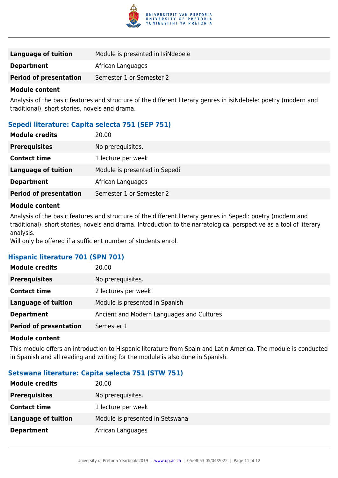

| Language of tuition           | Module is presented in IsiNdebele |
|-------------------------------|-----------------------------------|
| <b>Department</b>             | African Languages                 |
| <b>Period of presentation</b> | Semester 1 or Semester 2          |

Analysis of the basic features and structure of the different literary genres in isiNdebele: poetry (modern and traditional), short stories, novels and drama.

### **Sepedi literature: Capita selecta 751 (SEP 751)**

| <b>Module credits</b>         | 20.00                         |
|-------------------------------|-------------------------------|
| <b>Prerequisites</b>          | No prerequisites.             |
| <b>Contact time</b>           | 1 lecture per week            |
| Language of tuition           | Module is presented in Sepedi |
| <b>Department</b>             | African Languages             |
| <b>Period of presentation</b> | Semester 1 or Semester 2      |

#### **Module content**

Analysis of the basic features and structure of the different literary genres in Sepedi: poetry (modern and traditional), short stories, novels and drama. Introduction to the narratological perspective as a tool of literary analysis.

Will only be offered if a sufficient number of students enrol.

#### **Hispanic literature 701 (SPN 701)**

| <b>Module credits</b>         | 20.00                                     |
|-------------------------------|-------------------------------------------|
| <b>Prerequisites</b>          | No prerequisites.                         |
| <b>Contact time</b>           | 2 lectures per week                       |
| <b>Language of tuition</b>    | Module is presented in Spanish            |
| <b>Department</b>             | Ancient and Modern Languages and Cultures |
| <b>Period of presentation</b> | Semester 1                                |

#### **Module content**

This module offers an introduction to Hispanic literature from Spain and Latin America. The module is conducted in Spanish and all reading and writing for the module is also done in Spanish.

#### **Setswana literature: Capita selecta 751 (STW 751)**

| <b>Module credits</b>      | 20.00                           |
|----------------------------|---------------------------------|
| <b>Prerequisites</b>       | No prerequisites.               |
| <b>Contact time</b>        | 1 lecture per week              |
| <b>Language of tuition</b> | Module is presented in Setswana |
| <b>Department</b>          | African Languages               |